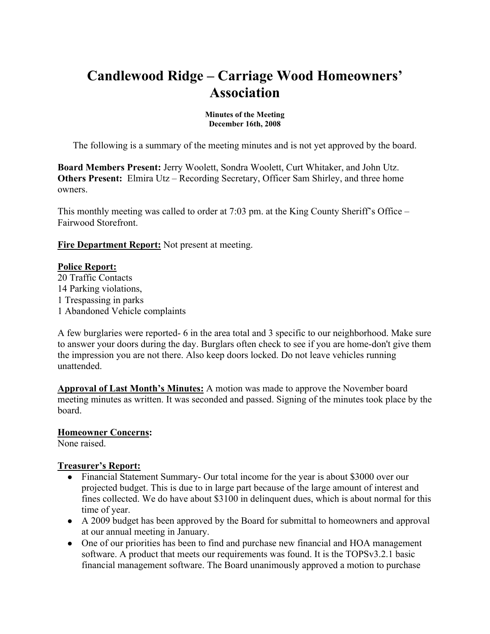# **Candlewood Ridge – Carriage Wood Homeowners' Association**

#### **Minutes of the Meeting December 16th, 2008**

The following is a summary of the meeting minutes and is not yet approved by the board.

**Board Members Present:** Jerry Woolett, Sondra Woolett, Curt Whitaker, and John Utz. **Others Present:** Elmira Utz – Recording Secretary, Officer Sam Shirley, and three home owners.

This monthly meeting was called to order at 7:03 pm. at the King County Sheriff's Office – Fairwood Storefront.

**Fire Department Report:** Not present at meeting.

#### **Police Report:**

20 Traffic Contacts 14 Parking violations, 1 Trespassing in parks 1 Abandoned Vehicle complaints

A few burglaries were reported- 6 in the area total and 3 specific to our neighborhood. Make sure to answer your doors during the day. Burglars often check to see if you are home-don't give them the impression you are not there. Also keep doors locked. Do not leave vehicles running unattended.

**Approval of Last Month's Minutes:** A motion was made to approve the November board meeting minutes as written. It was seconded and passed. Signing of the minutes took place by the board.

#### **Homeowner Concerns:**

None raised.

#### **Treasurer's Report:**

- Financial Statement Summary- Our total income for the year is about \$3000 over our projected budget. This is due to in large part because of the large amount of interest and fines collected. We do have about \$3100 in delinquent dues, which is about normal for this time of year.
- A 2009 budget has been approved by the Board for submittal to homeowners and approval at our annual meeting in January.
- One of our priorities has been to find and purchase new financial and HOA management software. A product that meets our requirements was found. It is the TOPSv3.2.1 basic financial management software. The Board unanimously approved a motion to purchase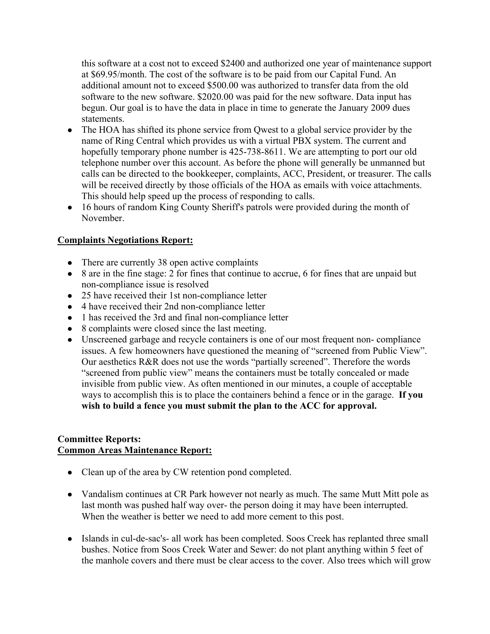this software at a cost not to exceed \$2400 and authorized one year of maintenance support at \$69.95/month. The cost of the software is to be paid from our Capital Fund. An additional amount not to exceed \$500.00 was authorized to transfer data from the old software to the new software. \$2020.00 was paid for the new software. Data input has begun. Our goal is to have the data in place in time to generate the January 2009 dues statements.

- The HOA has shifted its phone service from Qwest to a global service provider by the name of Ring Central which provides us with a virtual PBX system. The current and hopefully temporary phone number is 425-738-8611. We are attempting to port our old telephone number over this account. As before the phone will generally be unmanned but calls can be directed to the bookkeeper, complaints, ACC, President, or treasurer. The calls will be received directly by those officials of the HOA as emails with voice attachments. This should help speed up the process of responding to calls.
- 16 hours of random King County Sheriff's patrols were provided during the month of November.

### **Complaints Negotiations Report:**

- There are currently 38 open active complaints
- 8 are in the fine stage: 2 for fines that continue to accrue, 6 for fines that are unpaid but non-compliance issue is resolved
- 25 have received their 1st non-compliance letter
- 4 have received their 2nd non-compliance letter
- 1 has received the 3rd and final non-compliance letter
- 8 complaints were closed since the last meeting.
- Unscreened garbage and recycle containers is one of our most frequent non- compliance issues. A few homeowners have questioned the meaning of "screened from Public View". Our aesthetics R&R does not use the words "partially screened". Therefore the words "screened from public view" means the containers must be totally concealed or made invisible from public view. As often mentioned in our minutes, a couple of acceptable ways to accomplish this is to place the containers behind a fence or in the garage. **If you wish to build a fence you must submit the plan to the ACC for approval.**

#### **Committee Reports: Common Areas Maintenance Report:**

- Clean up of the area by CW retention pond completed.
- Vandalism continues at CR Park however not nearly as much. The same Mutt Mitt pole as last month was pushed half way over- the person doing it may have been interrupted. When the weather is better we need to add more cement to this post.
- Islands in cul-de-sac's- all work has been completed. Soos Creek has replanted three small bushes. Notice from Soos Creek Water and Sewer: do not plant anything within 5 feet of the manhole covers and there must be clear access to the cover. Also trees which will grow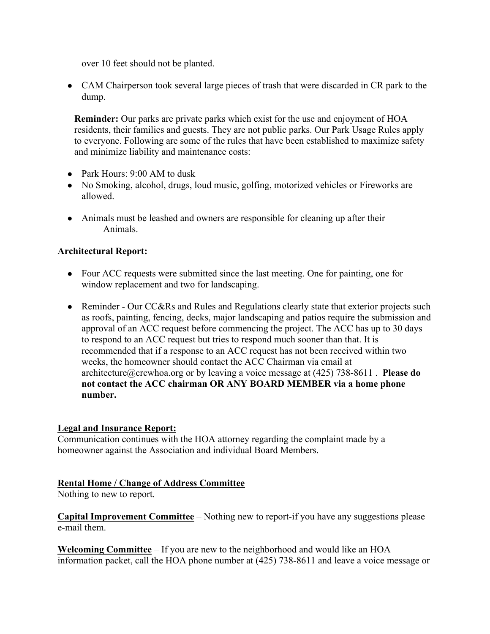over 10 feet should not be planted.

• CAM Chairperson took several large pieces of trash that were discarded in CR park to the dump.

**Reminder:** Our parks are private parks which exist for the use and enjoyment of HOA residents, their families and guests. They are not public parks. Our Park Usage Rules apply to everyone. Following are some of the rules that have been established to maximize safety and minimize liability and maintenance costs:

- Park Hours: 9:00 AM to dusk
- No Smoking, alcohol, drugs, loud music, golfing, motorized vehicles or Fireworks are allowed.
- Animals must be leashed and owners are responsible for cleaning up after their Animals.

#### **Architectural Report:**

- Four ACC requests were submitted since the last meeting. One for painting, one for window replacement and two for landscaping.
- Reminder Our CC&Rs and Rules and Regulations clearly state that exterior projects such as roofs, painting, fencing, decks, major landscaping and patios require the submission and approval of an ACC request before commencing the project. The ACC has up to 30 days to respond to an ACC request but tries to respond much sooner than that. It is recommended that if a response to an ACC request has not been received within two weeks, the homeowner should contact the ACC Chairman via email at architecture@crcwhoa.org or by leaving a voice message at (425) 738-8611 . **Please do not contact the ACC chairman OR ANY BOARD MEMBER via a home phone number.**

#### **Legal and Insurance Report:**

Communication continues with the HOA attorney regarding the complaint made by a homeowner against the Association and individual Board Members.

#### **Rental Home / Change of Address Committee**

Nothing to new to report.

**Capital Improvement Committee** – Nothing new to report-if you have any suggestions please e-mail them.

**Welcoming Committee** – If you are new to the neighborhood and would like an HOA information packet, call the HOA phone number at (425) 738-8611 and leave a voice message or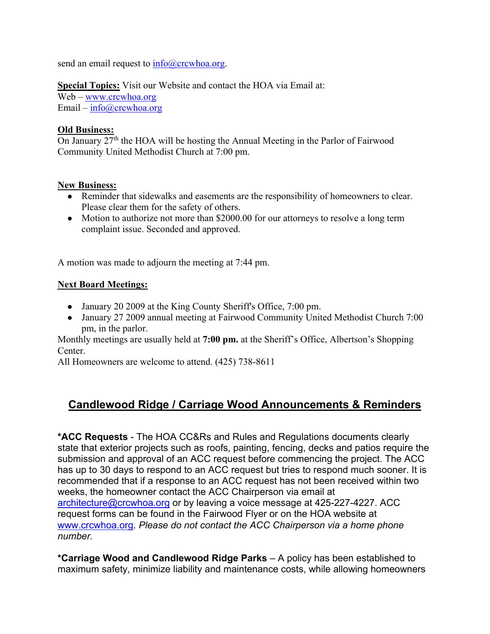send an email request to  $info@crcwhoa.org$ .

**Special Topics:** Visit our Website and contact the HOA via Email at:

Web – www.crcwhoa.org Email –  $info@crcwhoa.org$ 

#### **Old Business:**

On January 27<sup>th</sup> the HOA will be hosting the Annual Meeting in the Parlor of Fairwood Community United Methodist Church at 7:00 pm.

#### **New Business:**

- Reminder that sidewalks and easements are the responsibility of homeowners to clear. Please clear them for the safety of others.
- Motion to authorize not more than \$2000.00 for our attorneys to resolve a long term complaint issue. Seconded and approved.

A motion was made to adjourn the meeting at 7:44 pm.

#### **Next Board Meetings:**

- January 20 2009 at the King County Sheriff's Office, 7:00 pm.
- January 27 2009 annual meeting at Fairwood Community United Methodist Church 7:00 pm, in the parlor.

Monthly meetings are usually held at **7:00 pm.** at the Sheriff's Office, Albertson's Shopping Center.

All Homeowners are welcome to attend. (425) 738-8611

## **Candlewood Ridge / Carriage Wood Announcements & Reminders**

**\*ACC Requests** - The HOA CC&Rs and Rules and Regulations documents clearly state that exterior projects such as roofs, painting, fencing, decks and patios require the submission and approval of an ACC request before commencing the project. The ACC has up to 30 days to respond to an ACC request but tries to respond much sooner. It is recommended that if a response to an ACC request has not been received within two weeks, the homeowner contact the ACC Chairperson via email at architecture@crcwhoa.org or by leaving a voice message at 425-227-4227. ACC request forms can be found in the Fairwood Flyer or on the HOA website at www.crcwhoa.org. *Please do not contact the ACC Chairperson via a home phone number.*

**\*Carriage Wood and Candlewood Ridge Parks** – A policy has been established to maximum safety, minimize liability and maintenance costs, while allowing homeowners